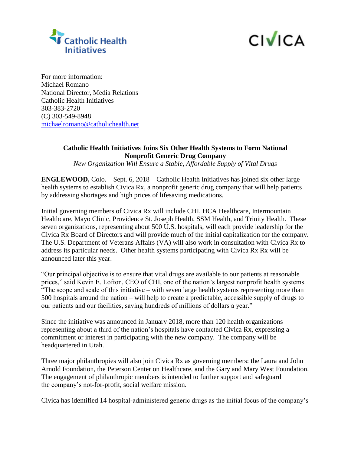



For more information: Michael Romano National Director, Media Relations Catholic Health Initiatives 303-383-2720 (C) 303-549-8948 [michaelromano@catholichealth.net](mailto:michaelromano@catholichealth.net)

## **Catholic Health Initiatives Joins Six Other Health Systems to Form National Nonprofit Generic Drug Company**

*New Organization Will Ensure a Stable, Affordable Supply of Vital Drugs* 

**ENGLEWOOD,** Colo. **–** Sept. 6, 2018 – Catholic Health Initiatives has joined six other large health systems to establish Civica Rx, a nonprofit generic drug company that will help patients by addressing shortages and high prices of lifesaving medications.

Initial governing members of Civica Rx will include CHI, HCA Healthcare, Intermountain Healthcare, Mayo Clinic, Providence St. Joseph Health, SSM Health, and Trinity Health. These seven organizations, representing about 500 U.S. hospitals, will each provide leadership for the Civica Rx Board of Directors and will provide much of the initial capitalization for the company. The U.S. Department of Veterans Affairs (VA) will also work in consultation with Civica Rx to address its particular needs. Other health systems participating with Civica Rx Rx will be announced later this year.

"Our principal objective is to ensure that vital drugs are available to our patients at reasonable prices," said Kevin E. Lofton, CEO of CHI, one of the nation's largest nonprofit health systems. "The scope and scale of this initiative – with seven large health systems representing more than 500 hospitals around the nation – will help to create a predictable, accessible supply of drugs to our patients and our facilities, saving hundreds of millions of dollars a year."

Since the initiative was announced in January 2018, more than 120 health organizations representing about a third of the nation's hospitals have contacted Civica Rx, expressing a commitment or interest in participating with the new company. The company will be headquartered in Utah.

Three major philanthropies will also join Civica Rx as governing members: the Laura and John Arnold Foundation, the Peterson Center on Healthcare, and the Gary and Mary West Foundation. The engagement of philanthropic members is intended to further support and safeguard the company's not-for-profit, social welfare mission.

Civica has identified 14 hospital-administered generic drugs as the initial focus of the company's